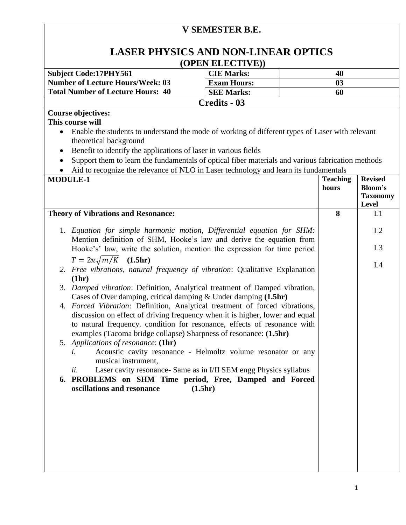| <b>V SEMESTER B.E.</b>                                                                                                                                                                                                                                                                                                             |                                                                                                                                   |  |                          |                                     |  |  |
|------------------------------------------------------------------------------------------------------------------------------------------------------------------------------------------------------------------------------------------------------------------------------------------------------------------------------------|-----------------------------------------------------------------------------------------------------------------------------------|--|--------------------------|-------------------------------------|--|--|
| <b>LASER PHYSICS AND NON-LINEAR OPTICS</b><br>(OPEN ELECTIVE))                                                                                                                                                                                                                                                                     |                                                                                                                                   |  |                          |                                     |  |  |
| <b>Subject Code:17PHY561</b>                                                                                                                                                                                                                                                                                                       | <b>CIE Marks:</b>                                                                                                                 |  | 40                       |                                     |  |  |
| <b>Number of Lecture Hours/Week: 03</b>                                                                                                                                                                                                                                                                                            | <b>Exam Hours:</b>                                                                                                                |  | 03                       |                                     |  |  |
| <b>Total Number of Lecture Hours: 40</b>                                                                                                                                                                                                                                                                                           | <b>SEE Marks:</b>                                                                                                                 |  | 60                       |                                     |  |  |
|                                                                                                                                                                                                                                                                                                                                    | Credits - 03                                                                                                                      |  |                          |                                     |  |  |
| <b>Course objectives:</b>                                                                                                                                                                                                                                                                                                          |                                                                                                                                   |  |                          |                                     |  |  |
| This course will<br>Enable the students to understand the mode of working of different types of Laser with relevant<br>$\bullet$<br>theoretical background<br>Benefit to identify the applications of laser in various fields<br>Support them to learn the fundamentals of optical fiber materials and various fabrication methods |                                                                                                                                   |  |                          |                                     |  |  |
| Aid to recognize the relevance of NLO in Laser technology and learn its fundamentals                                                                                                                                                                                                                                               |                                                                                                                                   |  | <b>Revised</b>           |                                     |  |  |
| <b>MODULE-1</b>                                                                                                                                                                                                                                                                                                                    |                                                                                                                                   |  | <b>Teaching</b><br>hours | Bloom's<br><b>Taxonomy</b><br>Level |  |  |
| <b>Theory of Vibrations and Resonance:</b>                                                                                                                                                                                                                                                                                         |                                                                                                                                   |  | 8                        | L1                                  |  |  |
| 1. Equation for simple harmonic motion, Differential equation for SHM:<br>Mention definition of SHM, Hooke's law and derive the equation from                                                                                                                                                                                      |                                                                                                                                   |  |                          | L2                                  |  |  |
| Hooke's' law, write the solution, mention the expression for time period<br>$T = 2\pi \sqrt{m/K}$<br>(1.5hr)                                                                                                                                                                                                                       |                                                                                                                                   |  |                          | L <sub>3</sub>                      |  |  |
| 2. Free vibrations, natural frequency of vibration: Qualitative Explanation<br>(1hr)                                                                                                                                                                                                                                               |                                                                                                                                   |  |                          | L4                                  |  |  |
| 3. Damped vibration: Definition, Analytical treatment of Damped vibration,<br>Cases of Over damping, critical damping $&$ Under damping $(1.5hr)$                                                                                                                                                                                  |                                                                                                                                   |  |                          |                                     |  |  |
| 4. Forced Vibration: Definition, Analytical treatment of forced vibrations,<br>discussion on effect of driving frequency when it is higher, lower and equal<br>to natural frequency. condition for resonance, effects of resonance with<br>examples (Tacoma bridge collapse) Sharpness of resonance: (1.5hr)                       |                                                                                                                                   |  |                          |                                     |  |  |
| 5. Applications of resonance: (1hr)<br>l.<br>musical instrument,<br>ii.                                                                                                                                                                                                                                                            | Acoustic cavity resonance - Helmoltz volume resonator or any<br>Laser cavity resonance- Same as in I/II SEM engg Physics syllabus |  |                          |                                     |  |  |
| 6. PROBLEMS on SHM Time period, Free, Damped and Forced<br>oscillations and resonance                                                                                                                                                                                                                                              | (1.5hr)                                                                                                                           |  |                          |                                     |  |  |
|                                                                                                                                                                                                                                                                                                                                    |                                                                                                                                   |  |                          |                                     |  |  |
|                                                                                                                                                                                                                                                                                                                                    |                                                                                                                                   |  |                          |                                     |  |  |
|                                                                                                                                                                                                                                                                                                                                    |                                                                                                                                   |  |                          |                                     |  |  |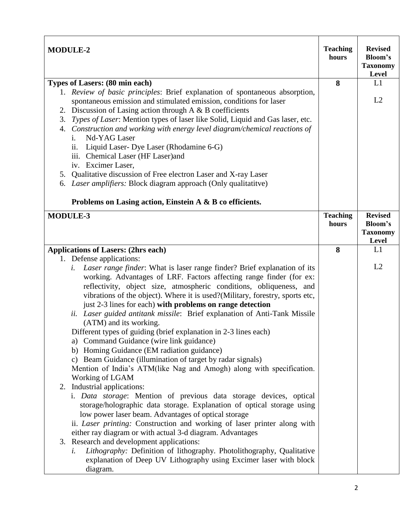| <b>MODULE-2</b>                                                                                                                                                                                                                                                                                                                                                                                                                                                                                                                                                                                                                                                                                                                                                                                                                                                                                                                                                                                                                                                                                                                                                                                                                                                                                                                                                                                                           |                          | <b>Revised</b><br>Bloom's<br><b>Taxonomy</b><br>Level |
|---------------------------------------------------------------------------------------------------------------------------------------------------------------------------------------------------------------------------------------------------------------------------------------------------------------------------------------------------------------------------------------------------------------------------------------------------------------------------------------------------------------------------------------------------------------------------------------------------------------------------------------------------------------------------------------------------------------------------------------------------------------------------------------------------------------------------------------------------------------------------------------------------------------------------------------------------------------------------------------------------------------------------------------------------------------------------------------------------------------------------------------------------------------------------------------------------------------------------------------------------------------------------------------------------------------------------------------------------------------------------------------------------------------------------|--------------------------|-------------------------------------------------------|
| Types of Lasers: (80 min each)                                                                                                                                                                                                                                                                                                                                                                                                                                                                                                                                                                                                                                                                                                                                                                                                                                                                                                                                                                                                                                                                                                                                                                                                                                                                                                                                                                                            | 8                        | L1                                                    |
| 1. Review of basic principles: Brief explanation of spontaneous absorption,<br>spontaneous emission and stimulated emission, conditions for laser<br>2. Discussion of Lasing action through $A \& B$ coefficients<br>3. Types of Laser: Mention types of laser like Solid, Liquid and Gas laser, etc.<br>4. Construction and working with energy level diagram/chemical reactions of<br>Nd-YAG Laser<br>i.<br>Liquid Laser- Dye Laser (Rhodamine 6-G)<br>$\overline{11}$ .<br>iii. Chemical Laser (HF Laser) and<br>iv. Excimer Laser,                                                                                                                                                                                                                                                                                                                                                                                                                                                                                                                                                                                                                                                                                                                                                                                                                                                                                    |                          | L2                                                    |
| 5. Qualitative discussion of Free electron Laser and X-ray Laser<br>Laser amplifiers: Block diagram approach (Only qualitatitve)<br>6.                                                                                                                                                                                                                                                                                                                                                                                                                                                                                                                                                                                                                                                                                                                                                                                                                                                                                                                                                                                                                                                                                                                                                                                                                                                                                    |                          |                                                       |
| Problems on Lasing action, Einstein A & B co efficients.                                                                                                                                                                                                                                                                                                                                                                                                                                                                                                                                                                                                                                                                                                                                                                                                                                                                                                                                                                                                                                                                                                                                                                                                                                                                                                                                                                  |                          |                                                       |
| <b>MODULE-3</b>                                                                                                                                                                                                                                                                                                                                                                                                                                                                                                                                                                                                                                                                                                                                                                                                                                                                                                                                                                                                                                                                                                                                                                                                                                                                                                                                                                                                           | <b>Teaching</b><br>hours | <b>Revised</b><br>Bloom's<br><b>Taxonomy</b><br>Level |
| <b>Applications of Lasers: (2hrs each)</b>                                                                                                                                                                                                                                                                                                                                                                                                                                                                                                                                                                                                                                                                                                                                                                                                                                                                                                                                                                                                                                                                                                                                                                                                                                                                                                                                                                                | 8                        | L1                                                    |
| 1. Defense applications:<br>Laser range finder: What is laser range finder? Brief explanation of its<br>i.<br>working. Advantages of LRF. Factors affecting range finder (for ex:<br>reflectivity, object size, atmospheric conditions, obliqueness, and<br>vibrations of the object). Where it is used?(Military, forestry, sports etc,<br>just 2-3 lines for each) with problems on range detection<br>ii. Laser guided antitank missile: Brief explanation of Anti-Tank Missile<br>(ATM) and its working.<br>Different types of guiding (brief explanation in 2-3 lines each)<br>a) Command Guidance (wire link guidance)<br>b) Homing Guidance (EM radiation guidance)<br>c) Beam Guidance (illumination of target by radar signals)<br>Mention of India's ATM(like Nag and Amogh) along with specification.<br>Working of LGAM<br>2. Industrial applications:<br>i. Data storage: Mention of previous data storage devices, optical<br>storage/holographic data storage. Explanation of optical storage using<br>low power laser beam. Advantages of optical storage<br>ii. Laser printing: Construction and working of laser printer along with<br>either ray diagram or with actual 3-d diagram. Advantages<br>3. Research and development applications:<br>Lithography: Definition of lithography. Photolithography, Qualitative<br>explanation of Deep UV Lithography using Excimer laser with block<br>diagram. |                          | L2                                                    |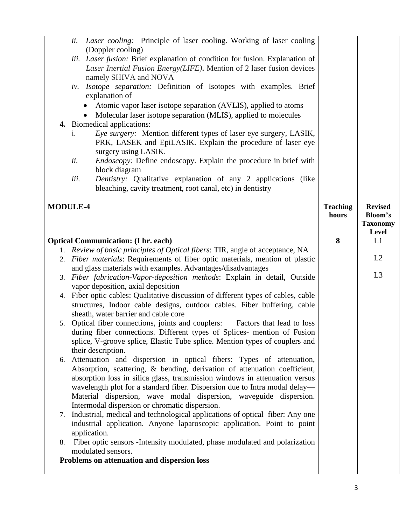|    | Laser cooling: Principle of laser cooling. Working of laser cooling<br>ii.<br>(Doppler cooling)<br>iii. Laser fusion: Brief explanation of condition for fusion. Explanation of<br>Laser Inertial Fusion Energy(LIFE). Mention of 2 laser fusion devices<br>namely SHIVA and NOVA<br>Isotope separation: Definition of Isotopes with examples. Brief<br>iv.<br>explanation of<br>Atomic vapor laser isotope separation (AVLIS), applied to atoms<br>Molecular laser isotope separation (MLIS), applied to molecules<br>4. Biomedical applications:<br>Eye surgery: Mention different types of laser eye surgery, LASIK,<br>$\mathbf{i}$ .<br>PRK, LASEK and EpiLASIK. Explain the procedure of laser eye<br>surgery using LASIK.<br><i>Endoscopy:</i> Define endoscopy. Explain the procedure in brief with<br>ii.<br>block diagram<br>Dentistry: Qualitative explanation of any 2 applications (like<br>iii.<br>bleaching, cavity treatment, root canal, etc) in dentistry |                          |                                            |
|----|-----------------------------------------------------------------------------------------------------------------------------------------------------------------------------------------------------------------------------------------------------------------------------------------------------------------------------------------------------------------------------------------------------------------------------------------------------------------------------------------------------------------------------------------------------------------------------------------------------------------------------------------------------------------------------------------------------------------------------------------------------------------------------------------------------------------------------------------------------------------------------------------------------------------------------------------------------------------------------|--------------------------|--------------------------------------------|
|    |                                                                                                                                                                                                                                                                                                                                                                                                                                                                                                                                                                                                                                                                                                                                                                                                                                                                                                                                                                             |                          | <b>Revised</b>                             |
|    | <b>MODULE-4</b>                                                                                                                                                                                                                                                                                                                                                                                                                                                                                                                                                                                                                                                                                                                                                                                                                                                                                                                                                             | <b>Teaching</b><br>hours | Bloom's<br><b>Taxonomy</b><br><b>Level</b> |
|    | <b>Optical Communication: (I hr. each)</b>                                                                                                                                                                                                                                                                                                                                                                                                                                                                                                                                                                                                                                                                                                                                                                                                                                                                                                                                  | 8                        | L1                                         |
|    | 1. Review of basic principles of Optical fibers: TIR, angle of acceptance, NA                                                                                                                                                                                                                                                                                                                                                                                                                                                                                                                                                                                                                                                                                                                                                                                                                                                                                               |                          |                                            |
|    | 2. Fiber materials: Requirements of fiber optic materials, mention of plastic                                                                                                                                                                                                                                                                                                                                                                                                                                                                                                                                                                                                                                                                                                                                                                                                                                                                                               |                          | L2                                         |
|    | and glass materials with examples. Advantages/disadvantages                                                                                                                                                                                                                                                                                                                                                                                                                                                                                                                                                                                                                                                                                                                                                                                                                                                                                                                 |                          |                                            |
| 3. |                                                                                                                                                                                                                                                                                                                                                                                                                                                                                                                                                                                                                                                                                                                                                                                                                                                                                                                                                                             |                          | L3                                         |
|    | Fiber fabrication-Vapor-deposition methods: Explain in detail, Outside<br>vapor deposition, axial deposition                                                                                                                                                                                                                                                                                                                                                                                                                                                                                                                                                                                                                                                                                                                                                                                                                                                                |                          |                                            |
|    |                                                                                                                                                                                                                                                                                                                                                                                                                                                                                                                                                                                                                                                                                                                                                                                                                                                                                                                                                                             |                          |                                            |
|    | 4. Fiber optic cables: Qualitative discussion of different types of cables, cable                                                                                                                                                                                                                                                                                                                                                                                                                                                                                                                                                                                                                                                                                                                                                                                                                                                                                           |                          |                                            |
|    | structures, Indoor cable designs, outdoor cables. Fiber buffering, cable                                                                                                                                                                                                                                                                                                                                                                                                                                                                                                                                                                                                                                                                                                                                                                                                                                                                                                    |                          |                                            |
|    | sheath, water barrier and cable core                                                                                                                                                                                                                                                                                                                                                                                                                                                                                                                                                                                                                                                                                                                                                                                                                                                                                                                                        |                          |                                            |
|    | 5. Optical fiber connections, joints and couplers: Factors that lead to loss                                                                                                                                                                                                                                                                                                                                                                                                                                                                                                                                                                                                                                                                                                                                                                                                                                                                                                |                          |                                            |
|    | during fiber connections. Different types of Splices- mention of Fusion                                                                                                                                                                                                                                                                                                                                                                                                                                                                                                                                                                                                                                                                                                                                                                                                                                                                                                     |                          |                                            |
|    | splice, V-groove splice, Elastic Tube splice. Mention types of couplers and                                                                                                                                                                                                                                                                                                                                                                                                                                                                                                                                                                                                                                                                                                                                                                                                                                                                                                 |                          |                                            |
|    | their description.                                                                                                                                                                                                                                                                                                                                                                                                                                                                                                                                                                                                                                                                                                                                                                                                                                                                                                                                                          |                          |                                            |
| 6. | Attenuation and dispersion in optical fibers: Types of attenuation,                                                                                                                                                                                                                                                                                                                                                                                                                                                                                                                                                                                                                                                                                                                                                                                                                                                                                                         |                          |                                            |
|    | Absorption, scattering, & bending, derivation of attenuation coefficient,                                                                                                                                                                                                                                                                                                                                                                                                                                                                                                                                                                                                                                                                                                                                                                                                                                                                                                   |                          |                                            |
|    | absorption loss in silica glass, transmission windows in attenuation versus                                                                                                                                                                                                                                                                                                                                                                                                                                                                                                                                                                                                                                                                                                                                                                                                                                                                                                 |                          |                                            |
|    | wavelength plot for a standard fiber. Dispersion due to Intra modal delay-<br>Material dispersion, wave modal dispersion, waveguide dispersion.                                                                                                                                                                                                                                                                                                                                                                                                                                                                                                                                                                                                                                                                                                                                                                                                                             |                          |                                            |
|    | Intermodal dispersion or chromatic dispersion.                                                                                                                                                                                                                                                                                                                                                                                                                                                                                                                                                                                                                                                                                                                                                                                                                                                                                                                              |                          |                                            |
|    | 7. Industrial, medical and technological applications of optical fiber: Any one                                                                                                                                                                                                                                                                                                                                                                                                                                                                                                                                                                                                                                                                                                                                                                                                                                                                                             |                          |                                            |
|    |                                                                                                                                                                                                                                                                                                                                                                                                                                                                                                                                                                                                                                                                                                                                                                                                                                                                                                                                                                             |                          |                                            |
|    |                                                                                                                                                                                                                                                                                                                                                                                                                                                                                                                                                                                                                                                                                                                                                                                                                                                                                                                                                                             |                          |                                            |
|    | industrial application. Anyone laparoscopic application. Point to point                                                                                                                                                                                                                                                                                                                                                                                                                                                                                                                                                                                                                                                                                                                                                                                                                                                                                                     |                          |                                            |
|    | application.                                                                                                                                                                                                                                                                                                                                                                                                                                                                                                                                                                                                                                                                                                                                                                                                                                                                                                                                                                |                          |                                            |
| 8. | Fiber optic sensors - Intensity modulated, phase modulated and polarization                                                                                                                                                                                                                                                                                                                                                                                                                                                                                                                                                                                                                                                                                                                                                                                                                                                                                                 |                          |                                            |
|    | modulated sensors.                                                                                                                                                                                                                                                                                                                                                                                                                                                                                                                                                                                                                                                                                                                                                                                                                                                                                                                                                          |                          |                                            |
|    | Problems on attenuation and dispersion loss                                                                                                                                                                                                                                                                                                                                                                                                                                                                                                                                                                                                                                                                                                                                                                                                                                                                                                                                 |                          |                                            |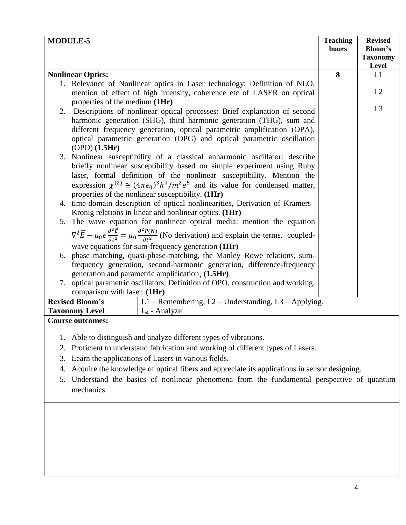| <b>MODULE-5</b>                  |                                                                                                                                                                                                                                                                                                               | <b>Teaching</b><br>hours | <b>Revised</b><br>Bloom's<br><b>Taxonomy</b><br>Level |
|----------------------------------|---------------------------------------------------------------------------------------------------------------------------------------------------------------------------------------------------------------------------------------------------------------------------------------------------------------|--------------------------|-------------------------------------------------------|
| <b>Nonlinear Optics:</b>         |                                                                                                                                                                                                                                                                                                               | 8                        | L1                                                    |
|                                  | 1. Relevance of Nonlinear optics in Laser technology: Definition of NLO,                                                                                                                                                                                                                                      |                          |                                                       |
| properties of the medium $(1Hr)$ | mention of effect of high intensity, coherence etc of LASER on optical                                                                                                                                                                                                                                        |                          | L2                                                    |
| $(OPO)$ $(1.5Hr)$                | 2. Descriptions of nonlinear optical processes: Brief explanation of second<br>harmonic generation (SHG), third harmonic generation (THG), sum and<br>different frequency generation, optical parametric amplification (OPA),<br>optical parametric generation (OPG) and optical parametric oscillation       |                          | L3                                                    |
|                                  | 3. Nonlinear susceptibility of a classical anharmonic oscillator: describe<br>briefly nonlinear susceptibility based on simple experiment using Ruby<br>laser, formal definition of the nonlinear susceptibility. Mention the                                                                                 |                          |                                                       |
|                                  | expression $\chi^{(2)} \cong (4\pi\epsilon_0)^3 h^4/m^2 e^5$ and its value for condensed matter,<br>properties of the nonlinear susceptibility. (1Hr)<br>4. time-domain description of optical nonlinearities, Derivation of Kramers-                                                                         |                          |                                                       |
|                                  | Kronig relations in linear and nonlinear optics. (1Hr)                                                                                                                                                                                                                                                        |                          |                                                       |
|                                  | 5. The wave equation for nonlinear optical media: mention the equation<br>$\nabla^2 \vec{E} - \mu_0 \epsilon \frac{\partial^2 \vec{E}}{\partial t^2} = \mu_0 \frac{\partial^2 \vec{P(N)}}{\partial t^2}$ (No derivation) and explain the terms. coupled-<br>wave equations for sum-frequency generation (1Hr) |                          |                                                       |
|                                  | 6. phase matching, quasi-phase-matching, the Manley-Rowe relations, sum-<br>frequency generation, second-harmonic generation, difference-frequency<br>generation and parametric amplification, (1.5Hr)                                                                                                        |                          |                                                       |
| comparison with laser. (1Hr)     | 7. optical parametric oscillators: Definition of OPO, construction and working,                                                                                                                                                                                                                               |                          |                                                       |
| <b>Revised Bloom's</b>           | L1 - Remembering, L2 - Understanding, L3 - Applying.                                                                                                                                                                                                                                                          |                          |                                                       |
| <b>Taxonomy Level</b>            | $L_4$ - Analyze                                                                                                                                                                                                                                                                                               |                          |                                                       |
| <b>Course outcomes:</b>          |                                                                                                                                                                                                                                                                                                               |                          |                                                       |
|                                  | 1. Able to distinguish and analyze different types of vibrations.                                                                                                                                                                                                                                             |                          |                                                       |
| 2.                               | Proficient to understand fabrication and working of different types of Lasers.                                                                                                                                                                                                                                |                          |                                                       |
| 3.                               | Learn the applications of Lasers in various fields.                                                                                                                                                                                                                                                           |                          |                                                       |
| 4.                               | Acquire the knowledge of optical fibers and appreciate its applications in sensor designing.                                                                                                                                                                                                                  |                          |                                                       |
| 5.<br>mechanics.                 | Understand the basics of nonlinear phenomena from the fundamental perspective of quantum                                                                                                                                                                                                                      |                          |                                                       |
|                                  |                                                                                                                                                                                                                                                                                                               |                          |                                                       |
|                                  |                                                                                                                                                                                                                                                                                                               |                          |                                                       |